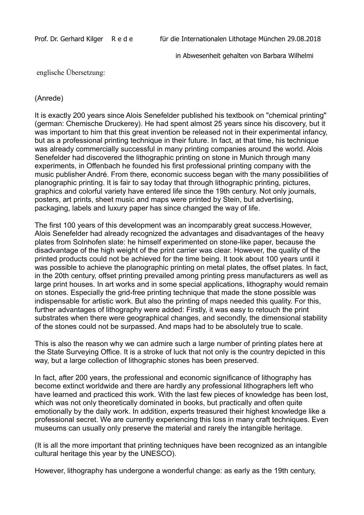in Abwesenheit gehalten von Barbara Wilhelmi

englische Übersetzung:

## (Anrede)

It is exactly 200 years since Alois Senefelder published his textbook on "chemical printing" (german: Chemische Druckerey). He had spent almost 25 years since his discovery, but it was important to him that this great invention be released not in their experimental infancy, but as a professional printing technique in their future. In fact, at that time, his technique was already commercially successful in many printing companies around the world. Alois Senefelder had discovered the lithographic printing on stone in Munich through many experiments, in Offenbach he founded his first professional printing company with the music publisher André. From there, economic success began with the many possibilities of planographic printing. It is fair to say today that through lithographic printing, pictures, graphics and colorful variety have entered life since the 19th century. Not only journals, posters, art prints, sheet music and maps were printed by Stein, but advertising, packaging, labels and luxury paper has since changed the way of life.

The first 100 years of this development was an incomparably great success.However, Alois Senefelder had already recognized the advantages and disadvantages of the heavy plates from Solnhofen slate: he himself experimented on stone-like paper, because the disadvantage of the high weight of the print carrier was clear. However, the quality of the printed products could not be achieved for the time being. It took about 100 years until it was possible to achieve the planographic printing on metal plates, the offset plates. In fact, in the 20th century, offset printing prevailed among printing press manufacturers as well as large print houses. In art works and in some special applications, lithography would remain on stones. Especially the grid-free printing technique that made the stone possible was indispensable for artistic work. But also the printing of maps needed this quality. For this, further advantages of lithography were added: Firstly, it was easy to retouch the print substrates when there were geographical changes, and secondly, the dimensional stability of the stones could not be surpassed. And maps had to be absolutely true to scale.

This is also the reason why we can admire such a large number of printing plates here at the State Surveying Office. It is a stroke of luck that not only is the country depicted in this way, but a large collection of lithographic stones has been preserved.

In fact, after 200 years, the professional and economic significance of lithography has become extinct worldwide and there are hardly any professional lithographers left who have learned and practiced this work. With the last few pieces of knowledge has been lost, which was not only theoretically dominated in books, but practically and often quite emotionally by the daily work. In addition, experts treasured their highest knowledge like a professional secret. We are currently experiencing this loss in many craft techniques. Even museums can usually only preserve the material and rarely the intangible heritage.

(It is all the more important that printing techniques have been recognized as an intangible cultural heritage this year by the UNESCO).

However, lithography has undergone a wonderful change: as early as the 19th century,